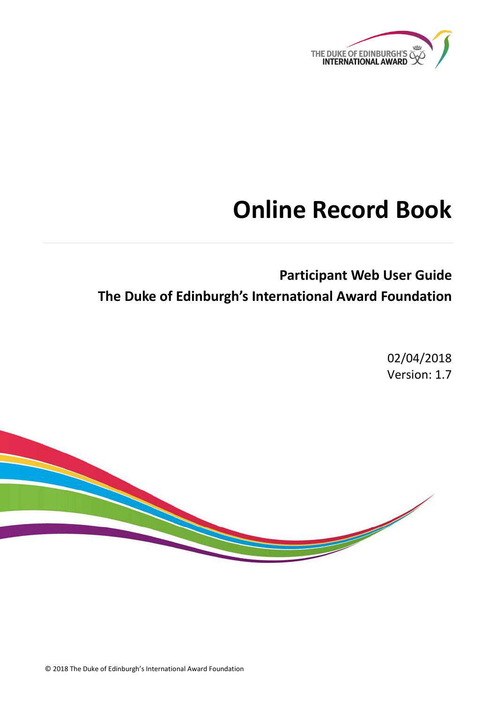

# **Online Record Book**

## **Participant Web User Guide The Duke of Edinburgh's International Award Foundation**

02/04/2018 Version: 1.7



© 2018 The Duke of Edinburgh's International Award Foundation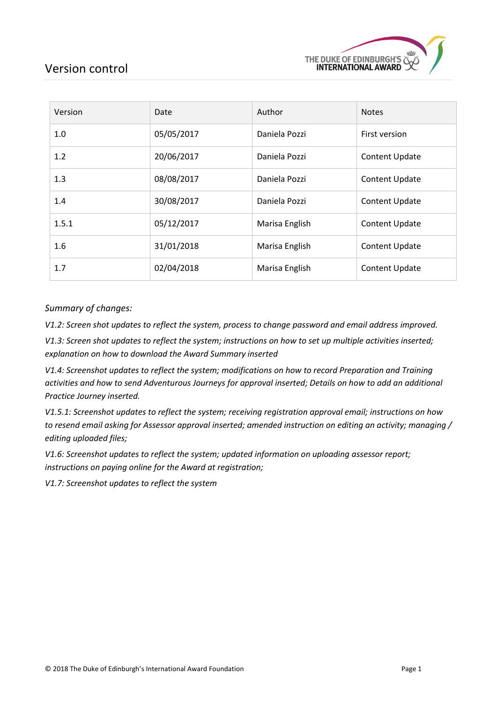

## <span id="page-1-0"></span>Version control

| Version | Date       | Author         | <b>Notes</b>          |
|---------|------------|----------------|-----------------------|
| 1.0     | 05/05/2017 | Daniela Pozzi  | First version         |
| 1.2     | 20/06/2017 | Daniela Pozzi  | Content Update        |
| 1.3     | 08/08/2017 | Daniela Pozzi  | <b>Content Update</b> |
| 1.4     | 30/08/2017 | Daniela Pozzi  | <b>Content Update</b> |
| 1.5.1   | 05/12/2017 | Marisa English | Content Update        |
| 1.6     | 31/01/2018 | Marisa English | <b>Content Update</b> |
| 1.7     | 02/04/2018 | Marisa English | <b>Content Update</b> |

#### *Summary of changes:*

*V1.2: Screen shot updates to reflect the system, process to change password and email address improved.* 

*V1.3: Screen shot updates to reflect the system; instructions on how to set up multiple activities inserted; explanation on how to download the Award Summary inserted*

*V1.4: Screenshot updates to reflect the system; modifications on how to record Preparation and Training activities and how to send Adventurous Journeys for approval inserted; Details on how to add an additional Practice Journey inserted.* 

*V1.5.1: Screenshot updates to reflect the system; receiving registration approval email; instructions on how to resend email asking for Assessor approval inserted; amended instruction on editing an activity; managing / editing uploaded files;* 

*V1.6: Screenshot updates to reflect the system; updated information on uploading assessor report; instructions on paying online for the Award at registration;* 

*V1.7: Screenshot updates to reflect the system*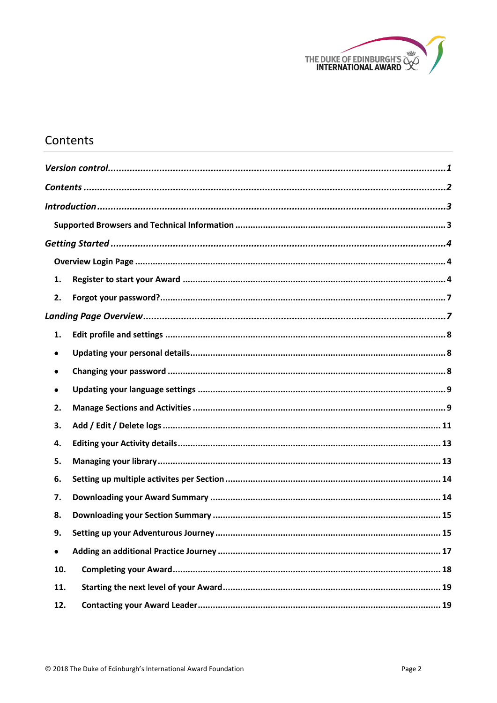

## <span id="page-2-0"></span>Contents

| 1.        |  |
|-----------|--|
| 2.        |  |
|           |  |
| 1.        |  |
| ٠         |  |
| $\bullet$ |  |
| ٠         |  |
| 2.        |  |
| 3.        |  |
| 4.        |  |
| 5.        |  |
| 6.        |  |
| 7.        |  |
| 8.        |  |
| 9.        |  |
| $\bullet$ |  |
| 10.       |  |
| 11.       |  |
| 12.       |  |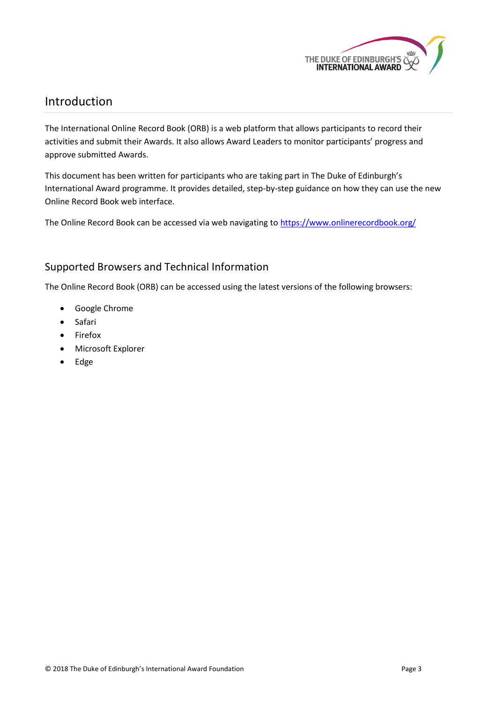

## <span id="page-3-0"></span>Introduction

The International Online Record Book (ORB) is a web platform that allows participants to record their activities and submit their Awards. It also allows Award Leaders to monitor participants' progress and approve submitted Awards.

This document has been written for participants who are taking part in The Duke of Edinburgh's International Award programme. It provides detailed, step-by-step guidance on how they can use the new Online Record Book web interface.

The Online Record Book can be accessed via web navigating t[o https://www.onlinerecordbook.org/](https://www.onlinerecordbook.org/)

## <span id="page-3-1"></span>Supported Browsers and Technical Information

The Online Record Book (ORB) can be accessed using the latest versions of the following browsers:

- Google Chrome
- Safari
- Firefox
- Microsoft Explorer
- Edge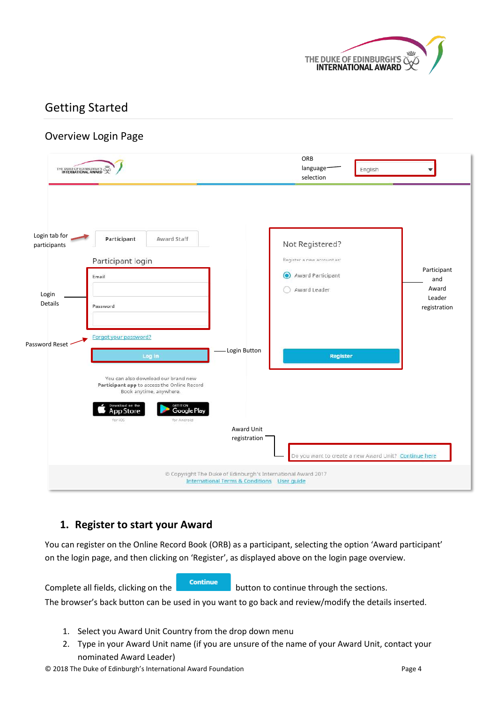

## <span id="page-4-0"></span>Getting Started

## <span id="page-4-1"></span>Overview Login Page

| THE DUKE OF EDINBURGH'S                           |                                                                                                                                                  |                                                                                                                        | ORB<br>language <sup>-</sup><br>English<br>selection                                            |                                                       |
|---------------------------------------------------|--------------------------------------------------------------------------------------------------------------------------------------------------|------------------------------------------------------------------------------------------------------------------------|-------------------------------------------------------------------------------------------------|-------------------------------------------------------|
| Login tab for<br>participants<br>Login<br>Details | Participant<br>Award Staff<br>Participant login<br>Email<br>Password                                                                             |                                                                                                                        | Not Registered?<br>Register a new account as:<br>Award Participant<br>$\bullet$<br>Award Leader | Participant<br>and<br>Award<br>Leader<br>registration |
| Password Reset                                    | Forgot your password?<br>Log in<br>You can also download our brand new<br>Participant app to access the Online Record<br>Book anytime, anywhere. | Login Button                                                                                                           | <b>Register</b>                                                                                 |                                                       |
|                                                   | Download on the<br>GET IT ON<br><b>Google Play</b><br><b>AppStore</b><br>for iOS<br>for Android                                                  | Award Unit<br>registration                                                                                             | Do you want to create a new Award Unit? Continue here                                           |                                                       |
|                                                   |                                                                                                                                                  | C Copyright The Duke of Edinburgh's International Award 2017<br><b>International Terms &amp; Conditions User quide</b> |                                                                                                 |                                                       |

## <span id="page-4-2"></span>**1. Register to start your Award**

You can register on the Online Record Book (ORB) as a participant, selecting the option 'Award participant' on the login page, and then clicking on 'Register', as displayed above on the login page overview.

Complete all fields, clicking on the **continue** button to continue through the sections. The browser's back button can be used in you want to go back and review/modify the details inserted.

- 1. Select you Award Unit Country from the drop down menu
- 2. Type in your Award Unit name (if you are unsure of the name of your Award Unit, contact your nominated Award Leader)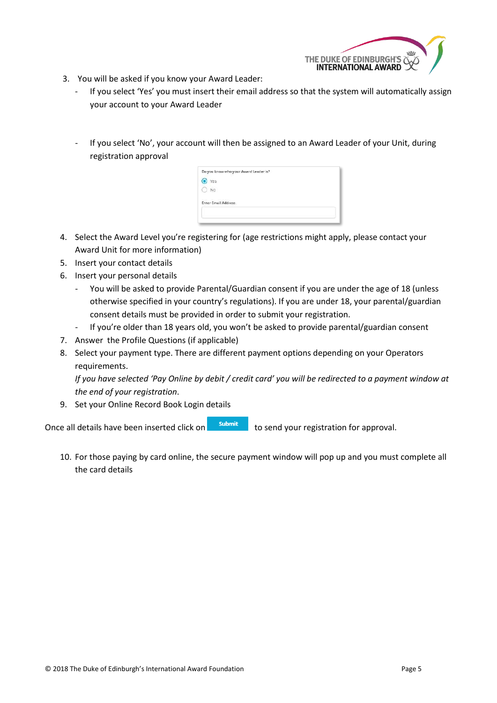

- 3. You will be asked if you know your Award Leader:
	- If you select 'Yes' you must insert their email address so that the system will automatically assign your account to your Award Leader
	- If you select 'No', your account will then be assigned to an Award Leader of your Unit, during registration approval

| Do you know who your Award Leader is?       |  |
|---------------------------------------------|--|
| Yes                                         |  |
|                                             |  |
| All Maleysian<br><b>Enter Email Address</b> |  |
|                                             |  |
|                                             |  |

- 4. Select the Award Level you're registering for (age restrictions might apply, please contact your Award Unit for more information)
- 5. Insert your contact details
- 6. Insert your personal details
	- You will be asked to provide Parental/Guardian consent if you are under the age of 18 (unless otherwise specified in your country's regulations). If you are under 18, your parental/guardian consent details must be provided in order to submit your registration.
	- If you're older than 18 years old, you won't be asked to provide parental/guardian consent
- 7. Answer the Profile Questions (if applicable)
- 8. Select your payment type. There are different payment options depending on your Operators requirements.

*If you have selected 'Pay Online by debit / credit card' you will be redirected to a payment window at the end of your registration*.

9. Set your Online Record Book Login details

Once all details have been inserted click on  $\overline{\phantom{a}}$  submit to send your registration for approval.

10. For those paying by card online, the secure payment window will pop up and you must complete all the card details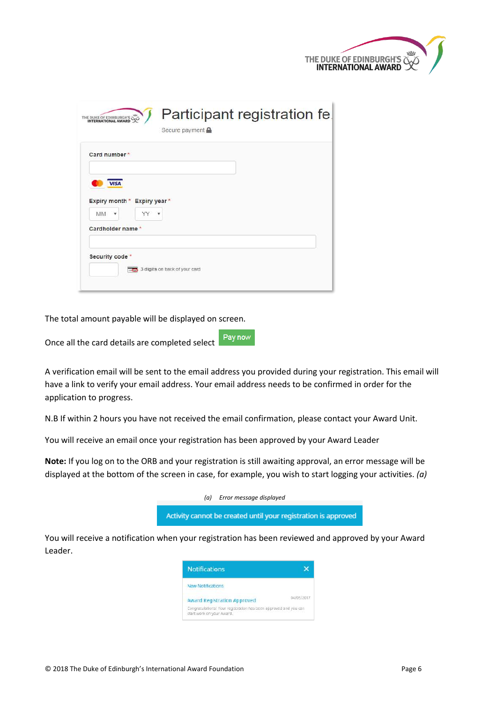| THE DUKE OF EDINBURGH'S NET |  |
|-----------------------------|--|
|                             |  |

| THE DUKE OF EDINBURGH'S                                       | Participant registration fe.<br>Secure payment $\blacksquare$ |
|---------------------------------------------------------------|---------------------------------------------------------------|
| Card number*                                                  |                                                               |
| <b>VISA</b><br>Expiry month * Expiry year *<br><b>MM</b><br>۰ | ۰                                                             |
| Cardholder name*                                              |                                                               |
| Security code <sup>*</sup>                                    | 3 digits on back of your card                                 |

The total amount payable will be displayed on screen.

Once all the card details are completed select

A verification email will be sent to the email address you provided during your registration. This email will have a link to verify your email address. Your email address needs to be confirmed in order for the application to progress.

Pay now

N.B If within 2 hours you have not received the email confirmation, please contact your Award Unit.

You will receive an email once your registration has been approved by your Award Leader

**Note:** If you log on to the ORB and your registration is still awaiting approval, an error message will be displayed at the bottom of the screen in case, for example, you wish to start logging your activities. *(a)*



You will receive a notification when your registration has been reviewed and approved by your Award Leader.

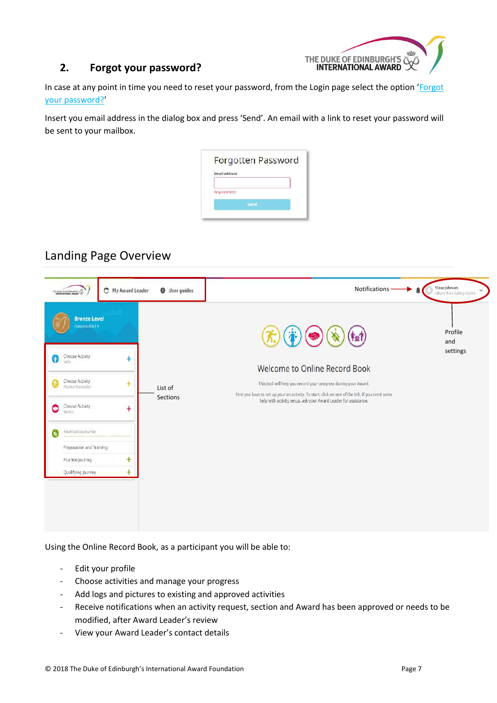

#### <span id="page-7-0"></span>**2. Forgot your password?**

In case at any point in time you need to reset your password, from the Login page select the option 'Forgot your password?'

Insert you email address in the dialog box and press 'Send'. An email with a link to reset your password will be sent to your mailbox.

| Email address  |  |  |
|----------------|--|--|
|                |  |  |
| Required field |  |  |
|                |  |  |

## <span id="page-7-1"></span>Landing Page Overview

| <b>Bronze Level</b><br>Completed 0 / 1<br>Profile<br>and<br>settings<br>Choose Activity<br>Ø<br>Ŧ<br>siels<br>Welcome to Online Record Book<br>Choose Activity<br>$+$<br>This tool will help you record your progress during your Award.<br>Иñ<br>Physical Recreation<br>List of<br>First you have to set up your an activity. To start, click on one of the left. If you need some<br><b>Sections</b><br>help with activity setup, ask your Award Leader for assistance.<br>Choose Activity<br>C<br>$\ddot{}$<br>Service<br>Adventurous journey<br>Preparation and Training<br>$\ddot{}$<br>Practice Journey<br>$\ddot{}$<br>Qualifying Journey | THE DUME OF EDIMESTIC HEADS | My Award Leader | <b>O</b> User guides | Notifications · | Vince Johnson<br>$\checkmark$<br>Albany Park Sailing Centre |
|--------------------------------------------------------------------------------------------------------------------------------------------------------------------------------------------------------------------------------------------------------------------------------------------------------------------------------------------------------------------------------------------------------------------------------------------------------------------------------------------------------------------------------------------------------------------------------------------------------------------------------------------------|-----------------------------|-----------------|----------------------|-----------------|-------------------------------------------------------------|
|                                                                                                                                                                                                                                                                                                                                                                                                                                                                                                                                                                                                                                                  |                             |                 |                      |                 |                                                             |

Using the Online Record Book, as a participant you will be able to:

- Edit your profile
- Choose activities and manage your progress
- Add logs and pictures to existing and approved activities
- Receive notifications when an activity request, section and Award has been approved or needs to be modified, after Award Leader's review
- View your Award Leader's contact details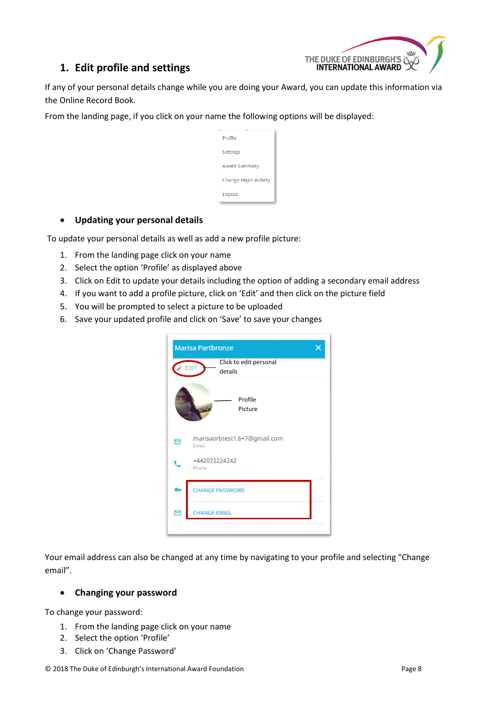

## <span id="page-8-0"></span>**1. Edit profile and settings**

If any of your personal details change while you are doing your Award, you can update this information via the Online Record Book.

From the landing page, if you click on your name the following options will be displayed:

| Profile               |  |
|-----------------------|--|
| Settings              |  |
| Award Summary         |  |
| Change Major Activity |  |
| Logout                |  |

#### <span id="page-8-1"></span>**Updating your personal details**

To update your personal details as well as add a new profile picture:

- 1. From the landing page click on your name
- 2. Select the option 'Profile' as displayed above
- 3. Click on Edit to update your details including the option of adding a secondary email address
- 4. If you want to add a profile picture, click on 'Edit' and then click on the picture field
- 5. You will be prompted to select a picture to be uploaded
- 6. Save your updated profile and click on 'Save' to save your changes

|   | <b>Marisa Partbronze</b>                  |
|---|-------------------------------------------|
|   | Click to edit personal<br>EDIT<br>details |
|   | Profile<br>Picture                        |
|   | marisaorbtest1.6+7@gmail.com<br>Email     |
|   | +442072224242<br>Phone                    |
|   | <b>HANGE PASSWORD</b>                     |
| Σ | <b>HANGE EMAIL</b>                        |

Your email address can also be changed at any time by navigating to your profile and selecting "Change email".

#### <span id="page-8-2"></span>**Changing your password**

To change your password:

- 1. From the landing page click on your name
- 2. Select the option 'Profile'
- 3. Click on 'Change Password'

© 2018 The Duke of Edinburgh's International Award Foundation Page 8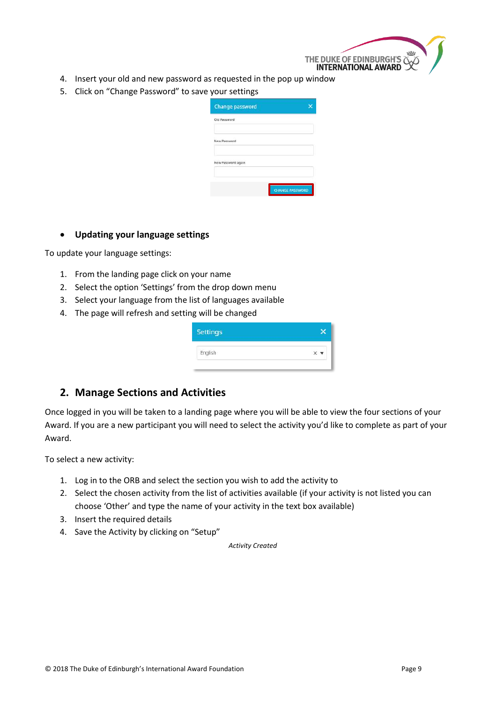

- 4. Insert your old and new password as requested in the pop up window
- 5. Click on "Change Password" to save your settings

| <b>CHANGE PASSWORD</b> |
|------------------------|

#### <span id="page-9-0"></span>**Updating your language settings**

To update your language settings:

- 1. From the landing page click on your name
- 2. Select the option 'Settings' from the drop down menu
- 3. Select your language from the list of languages available
- 4. The page will refresh and setting will be changed

| $\times$ $\star$ |
|------------------|
|                  |

#### <span id="page-9-1"></span>**2. Manage Sections and Activities**

Once logged in you will be taken to a landing page where you will be able to view the four sections of your Award. If you are a new participant you will need to select the activity you'd like to complete as part of your Award.

To select a new activity:

- 1. Log in to the ORB and select the section you wish to add the activity to
- 2. Select the chosen activity from the list of activities available (if your activity is not listed you can choose 'Other' and type the name of your activity in the text box available)
- 3. Insert the required details
- 4. Save the Activity by clicking on "Setup"

*Activity Created*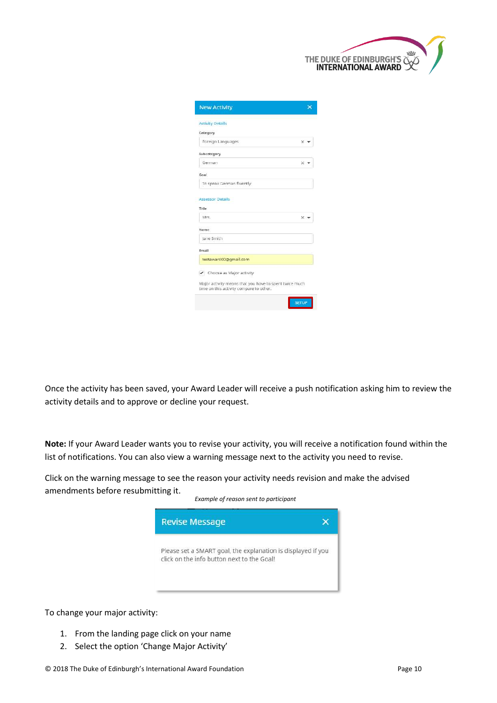

| <b>New Activity</b>      |                                   |
|--------------------------|-----------------------------------|
| <b>Activity Details</b>  |                                   |
| Category                 |                                   |
| Foreign Languages        | $\times$ $\overline{\phantom{0}}$ |
| Subcategory              |                                   |
| German                   | × w                               |
| Goal                     |                                   |
| To speak German fluently |                                   |
| Title<br>Mrs.            | ×.                                |
| Name                     |                                   |
| Jane Smith               |                                   |
| Frnail.                  |                                   |
| testaward00@gmail.com    |                                   |
|                          |                                   |
| Choose as Major activity |                                   |

Once the activity has been saved, your Award Leader will receive a push notification asking him to review the activity details and to approve or decline your request.

**Note:** If your Award Leader wants you to revise your activity, you will receive a notification found within the list of notifications. You can also view a warning message next to the activity you need to revise.

Click on the warning message to see the reason your activity needs revision and make the advised amendments before resubmitting it.



To change your major activity:

- 1. From the landing page click on your name
- 2. Select the option 'Change Major Activity'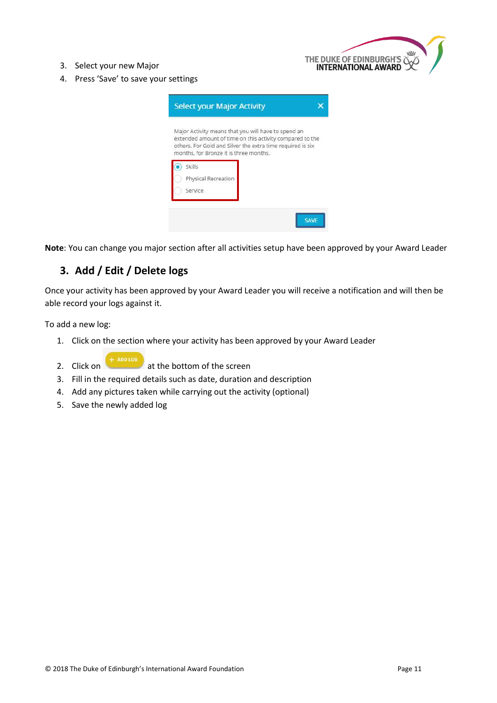

- 3. Select your new Major
- 4. Press 'Save' to save your settings

|                     | Major Activity means that you will have to spend an                                                                    |  |
|---------------------|------------------------------------------------------------------------------------------------------------------------|--|
|                     | extended amount of time on this activity compared to the<br>others. For Gold and Silver the extra time required is six |  |
|                     | months, for Bronze it is three months.                                                                                 |  |
| Skills              |                                                                                                                        |  |
|                     |                                                                                                                        |  |
| Physical Recreation |                                                                                                                        |  |

**Note**: You can change you major section after all activities setup have been approved by your Award Leader

## <span id="page-11-0"></span>**3. Add / Edit / Delete logs**

Once your activity has been approved by your Award Leader you will receive a notification and will then be able record your logs against it.

To add a new log:

- 1. Click on the section where your activity has been approved by your Award Leader
- 2. Click on at the bottom of the screen
- 3. Fill in the required details such as date, duration and description
- 4. Add any pictures taken while carrying out the activity (optional)
- 5. Save the newly added log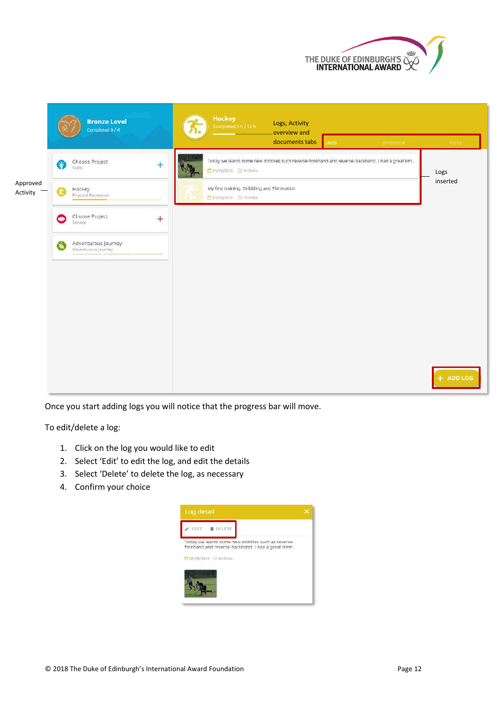



Once you start adding logs you will notice that the progress bar will move.

To edit/delete a log:

- 1. Click on the log you would like to edit
- 2. Select 'Edit' to edit the log, and edit the details
- 3. Select 'Delete' to delete the log, as necessary
- 4. Confirm your choice

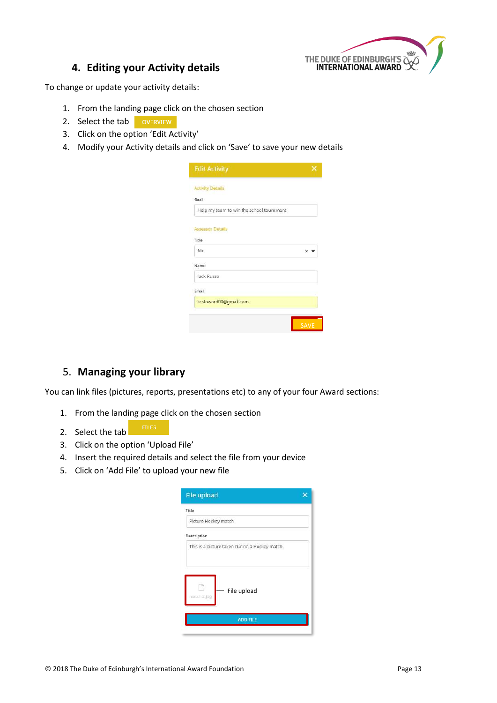

#### **4. Editing your Activity details**

<span id="page-13-0"></span>To change or update your activity details:

- 1. From the landing page click on the chosen section
- 2. Select the tab overview
- 3. Click on the option 'Edit Activity'
- 4. Modify your Activity details and click on 'Save' to save your new details

| <b>Edit Activity</b>                     |                    |
|------------------------------------------|--------------------|
| <b>Activity Details</b>                  |                    |
| Goal                                     |                    |
| Help my team to win the school tournment |                    |
| <b>Assessor Details</b>                  |                    |
| Title                                    |                    |
| Mr                                       | $\times$ $\bullet$ |
| Name                                     |                    |
| Jack Russo                               |                    |
| Email                                    |                    |
| testaward00@gmail.com                    |                    |
|                                          |                    |
|                                          |                    |

## <span id="page-13-1"></span>5. **Managing your library**

You can link files (pictures, reports, presentations etc) to any of your four Award sections:

- 1. From the landing page click on the chosen section
- 2. Select the tab
- 3. Click on the option 'Upload File'
- 4. Insert the required details and select the file from your device
- 5. Click on 'Add File' to upload your new file

| <b>File upload</b>                             |
|------------------------------------------------|
| Title                                          |
| Picture Hockey match                           |
| Description                                    |
| This is a picture taken during a Hockey match. |
| File upload<br>match 2 log                     |
| <b>ADD FILE</b>                                |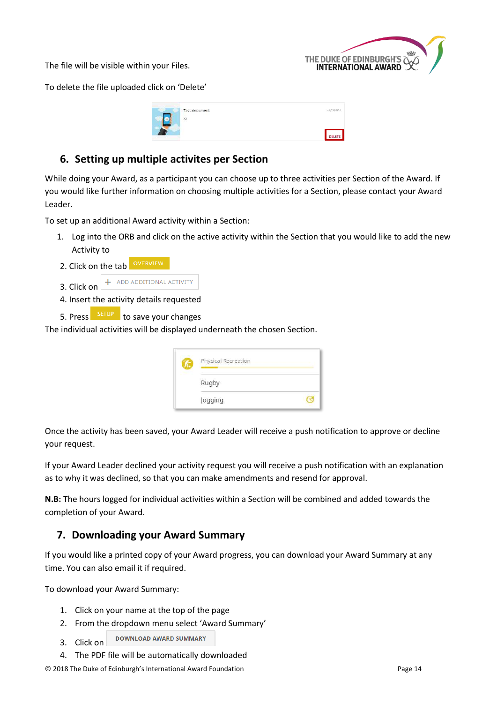The file will be visible within your Files.



To delete the file uploaded click on 'Delete'

| Test document | $-20/10/26$ |  |
|---------------|-------------|--|
| ×             |             |  |
|               | DELETE      |  |

## <span id="page-14-0"></span>**6. Setting up multiple activites per Section**

While doing your Award, as a participant you can choose up to three activities per Section of the Award. If you would like further information on choosing multiple activities for a Section, please contact your Award Leader.

To set up an additional Award activity within a Section:

- 1. Log into the ORB and click on the active activity within the Section that you would like to add the new Activity to
- 2. Click on the tab **OVERVIEW**



- 4. Insert the activity details requested
- 5. Press SETUP to save your changes

The individual activities will be displayed underneath the chosen Section.

| <b>Physical Recreation</b> |  |
|----------------------------|--|
| Rugby                      |  |
| Jogging                    |  |

Once the activity has been saved, your Award Leader will receive a push notification to approve or decline your request.

If your Award Leader declined your activity request you will receive a push notification with an explanation as to why it was declined, so that you can make amendments and resend for approval.

**N.B:** The hours logged for individual activities within a Section will be combined and added towards the completion of your Award.

## <span id="page-14-1"></span>**7. Downloading your Award Summary**

If you would like a printed copy of your Award progress, you can download your Award Summary at any time. You can also email it if required.

To download your Award Summary:

- 1. Click on your name at the top of the page
- 2. From the dropdown menu select 'Award Summary'
- DOWNLOAD AWARD SUMMARY 3. Click on
- 4. The PDF file will be automatically downloaded

© 2018 The Duke of Edinburgh's International Award Foundation Page 14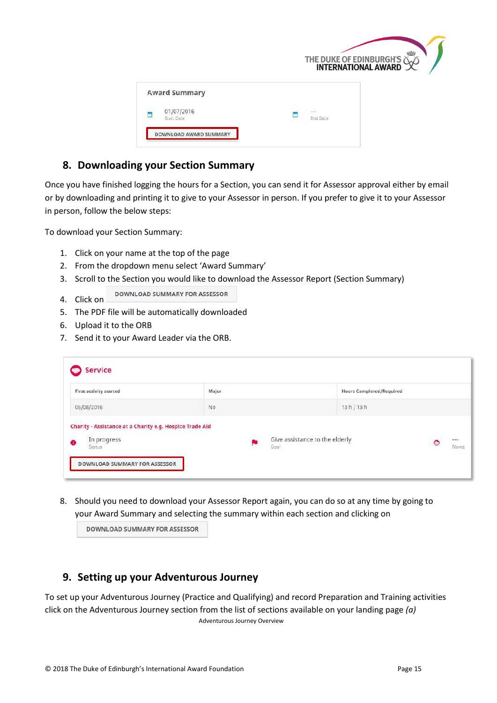|                          | THE DUKE OF EDINBURGH'S NET |
|--------------------------|-----------------------------|
| <b>Award Summary</b>     |                             |
| 01/07/2016<br>Start Date | <b>Stationary</b><br>m      |
| DOWNLOAD AWARD SUMMARY   |                             |

## <span id="page-15-0"></span>**8. Downloading your Section Summary**

Once you have finished logging the hours for a Section, you can send it for Assessor approval either by email or by downloading and printing it to give to your Assessor in person. If you prefer to give it to your Assessor in person, follow the below steps:

To download your Section Summary:

- 1. Click on your name at the top of the page
- 2. From the dropdown menu select 'Award Summary'
- 3. Scroll to the Section you would like to download the Assessor Report (Section Summary)
- **DOWNLOAD SUMMARY FOR ASSESSOR** 4. Click on
- 5. The PDF file will be automatically downloaded
- 6. Upload it to the ORB
- 7. Send it to your Award Leader via the ORB.

| First activity started                                   | Major          | Hours Completed/Required                          |
|----------------------------------------------------------|----------------|---------------------------------------------------|
| 05/08/2016                                               | N <sub>0</sub> | 13 h / 13 h                                       |
| Charity - Assistance at a Charity e.g. Hospice Trade Aid |                |                                                   |
| In progress                                              |                | Give assistance to the elderly<br>$-1$<br>$\circ$ |

8. Should you need to download your Assessor Report again, you can do so at any time by going to your Award Summary and selecting the summary within each section and clicking on

|  |  |  |  | <b>DOWNLOAD SUMMARY FOR ASSESSOR</b> |  |
|--|--|--|--|--------------------------------------|--|
|--|--|--|--|--------------------------------------|--|

## <span id="page-15-1"></span>**9. Setting up your Adventurous Journey**

To set up your Adventurous Journey (Practice and Qualifying) and record Preparation and Training activities click on the Adventurous Journey section from the list of sections available on your landing page *(a)* Adventurous Journey Overview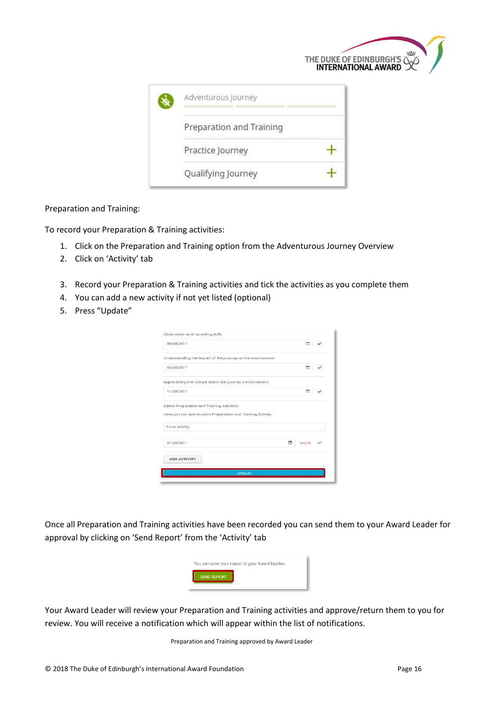|                          | THE DUKE OF EDINBURGH'S WINTERNATIONAL AWARD |
|--------------------------|----------------------------------------------|
| Adventurous Journey      |                                              |
| Preparation and Training |                                              |
| Practice Journey         |                                              |
| Qualifying Journey       |                                              |

Preparation and Training:

To record your Preparation & Training activities:

- 1. Click on the Preparation and Training option from the Adventurous Journey Overview
- 2. Click on 'Activity' tab
- 3. Record your Preparation & Training activities and tick the activities as you complete them
- 4. You can add a new activity if not yet listed (optional)
- 5. Press "Update"

| 08/08/2017                                                                                                |        |
|-----------------------------------------------------------------------------------------------------------|--------|
| Understanding the impact of the journey on the environment                                                |        |
| 08/08/2017                                                                                                |        |
| Appreciating the culture within the journey's environment.                                                |        |
| m<br>11/08/2017                                                                                           |        |
| Added Preparation and Training Activities<br>Here you can add an extra Preparation and Training Activity. |        |
| <b>Extra activity</b>                                                                                     |        |
| 01/08/2017<br><b>OELETE</b>                                                                               | $\sim$ |
| ADD ACTIVITY                                                                                              |        |
|                                                                                                           |        |

Once all Preparation and Training activities have been recorded you can send them to your Award Leader for approval by clicking on 'Send Report' from the 'Activity' tab



Your Award Leader will review your Preparation and Training activities and approve/return them to you for review. You will receive a notification which will appear within the list of notifications.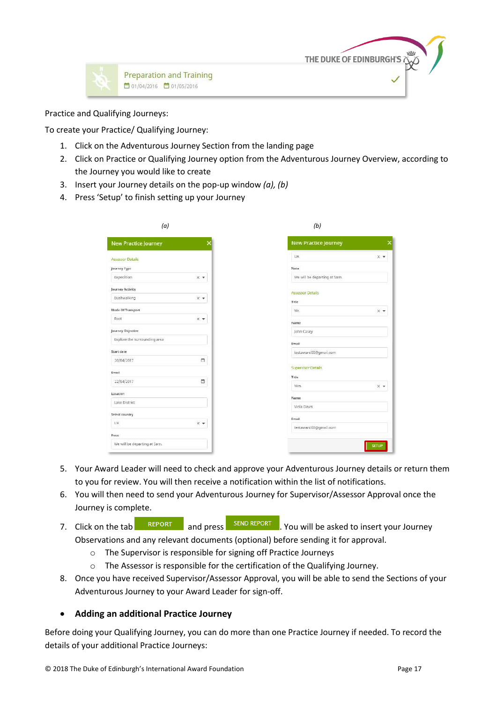



Practice and Qualifying Journeys:

To create your Practice/ Qualifying Journey:

- 1. Click on the Adventurous Journey Section from the landing page
- 2. Click on Practice or Qualifying Journey option from the Adventurous Journey Overview, according to the Journey you would like to create
- 3. Insert your Journey details on the pop-up window *(a), (b)*
- 4. Press 'Setup' to finish setting up your Journey

| (a)                                   | (b)                           |
|---------------------------------------|-------------------------------|
| New Practice Journey                  | New Practice Journey          |
| Assessor Details                      | <b>UK</b><br>$\times$ $*$     |
| Journey Type                          | <b>Note</b>                   |
| Expedition<br>X T                     | We will be departing at 5am.  |
| Journey Activity                      | Assessor Details              |
| Bushwalking<br>$\times$ $\star$       | Title                         |
| Mode Of Transport                     | Mr.<br>$X$ $\Psi$             |
| Foot<br>$\times$ $\blacktriangledown$ | Name                          |
| Journey Objective                     | John Casey                    |
| Explore the surrounding area          | Email                         |
| Start date                            | testaward00@gmail.com         |
| ö<br>20/04/2017                       |                               |
| Email                                 | <b>Supervisor Details</b>     |
| Ξ<br>22/04/2017                       | Title<br>Mrs.<br>$\times$ $*$ |
| Location                              |                               |
| Lake District                         | Name<br>Viola Davis           |
| Select country                        |                               |
| UK<br>$X - T$                         | Email                         |
| Note                                  | testaward00@gmail.com         |
| We will be departing at 5am.          | <b>SETUP</b>                  |

- 5. Your Award Leader will need to check and approve your Adventurous Journey details or return them to you for review. You will then receive a notification within the list of notifications.
- 6. You will then need to send your Adventurous Journey for Supervisor/Assessor Approval once the Journey is complete.
- 7. Click on the tab **REPORT** and press **SEND REPORT** You will be asked to insert your Journey Observations and any relevant documents (optional) before sending it for approval.
	- o The Supervisor is responsible for signing off Practice Journeys
	- o The Assessor is responsible for the certification of the Qualifying Journey.
- 8. Once you have received Supervisor/Assessor Approval, you will be able to send the Sections of your Adventurous Journey to your Award Leader for sign-off.

#### <span id="page-17-0"></span>**Adding an additional Practice Journey**

Before doing your Qualifying Journey, you can do more than one Practice Journey if needed. To record the details of your additional Practice Journeys: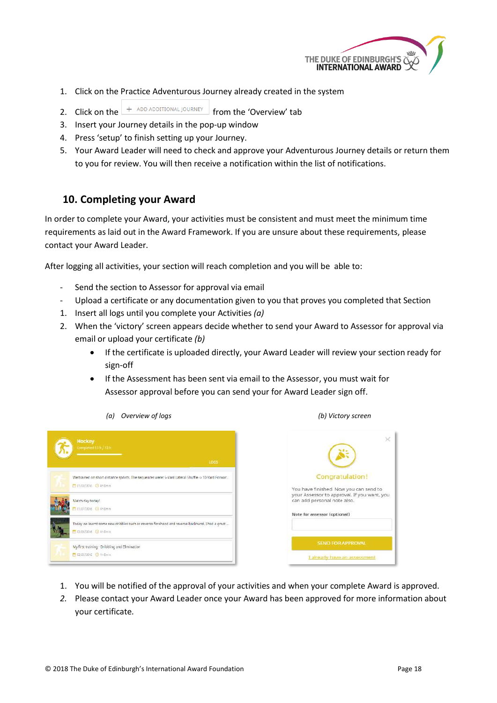

- 1. Click on the Practice Adventurous Journey already created in the system
- 2. Click on the  $\frac{1 + \text{ ADD ADDINGAL JOURNEY}}{1 + \text{ADD ADDINGAL}}$  from the 'Overview' tab
- 3. Insert your Journey details in the pop-up window
- 4. Press 'setup' to finish setting up your Journey.
- 5. Your Award Leader will need to check and approve your Adventurous Journey details or return them to you for review. You will then receive a notification within the list of notifications.

#### <span id="page-18-0"></span>**10. Completing your Award**

In order to complete your Award, your activities must be consistent and must meet the minimum time requirements as laid out in the Award Framework. If you are unsure about these requirements, please contact your Award Leader.

After logging all activities, your section will reach completion and you will be able to:

- Send the section to Assessor for approval via email
- Upload a certificate or any documentation given to you that proves you completed that Section
- 1. Insert all logs until you complete your Activities *(a)*
- 2. When the 'victory' screen appears decide whether to send your Award to Assessor for approval via email or upload your certificate *(b)*
	- If the certificate is uploaded directly, your Award Leader will review your section ready for sign-off
	- If the Assessment has been sent via email to the Assessor, you must wait for Assessor approval before you can send your for Award Leader sign off.

| Competed 13 h / 13 h<br>LOGS                                                                                                 |
|------------------------------------------------------------------------------------------------------------------------------|
| We trained on short distance sprints. The sequences were: 5-Yard Lateral Shuffle <> 10-Yard Forwar<br>E IN/88/2016 O 4h Omin |
| Match day today!<br>Em/07/2016 @ momin                                                                                       |
| Today we learnt some new dribbles such as reverse-forehand and reverse-backhand. I had a great<br>1 02/06/2016 3 4th Gmin    |
| My first training - Dribbling and Elimination<br>12/05/2016 3 16 October                                                     |

*(a) Overview of logs (b) Victory screen*



- 1. You will be notified of the approval of your activities and when your complete Award is approved.
- *2.* Please contact your Award Leader once your Award has been approved for more information about your certificate*.*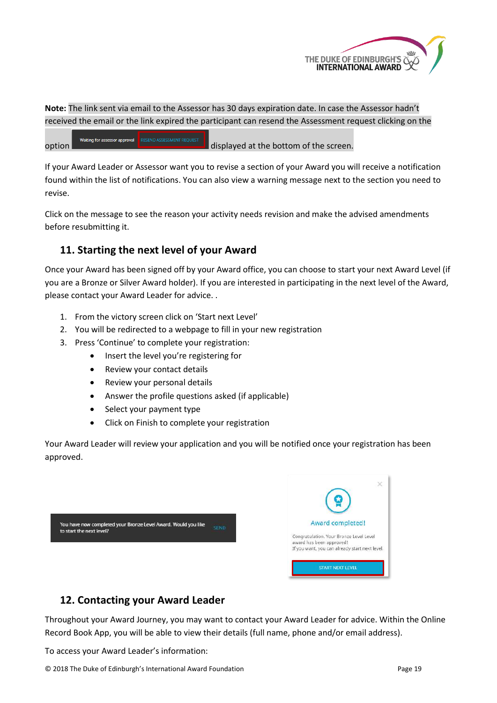

**Note:** The link sent via email to the Assessor has 30 days expiration date. In case the Assessor hadn't received the email or the link expired the participant can resend the Assessment request clicking on the

Waiting for assessor approval option **displayed** displayed at the bottom of the screen.

If your Award Leader or Assessor want you to revise a section of your Award you will receive a notification found within the list of notifications. You can also view a warning message next to the section you need to revise.

Click on the message to see the reason your activity needs revision and make the advised amendments before resubmitting it.

## <span id="page-19-0"></span>**11. Starting the next level of your Award**

Once your Award has been signed off by your Award office, you can choose to start your next Award Level (if you are a Bronze or Silver Award holder). If you are interested in participating in the next level of the Award, please contact your Award Leader for advice. .

- 1. From the victory screen click on 'Start next Level'
- 2. You will be redirected to a webpage to fill in your new registration
- 3. Press 'Continue' to complete your registration:
	- Insert the level you're registering for
	- Review your contact details
	- Review your personal details
	- Answer the profile questions asked (if applicable)
	- Select your payment type
	- Click on Finish to complete your registration

Your Award Leader will review your application and you will be notified once your registration has been approved.

|                                                                                                           | ×                                                                                                                                         |
|-----------------------------------------------------------------------------------------------------------|-------------------------------------------------------------------------------------------------------------------------------------------|
| You have now completed your Bronze Level Award. Would you like<br><b>SEND</b><br>to start the next level? | Award completed!<br>Congratulation. Your Bronze Level Level<br>award has been approved!<br>If you want, you can already start next level. |
|                                                                                                           | <b>START NEXT LEVEL</b>                                                                                                                   |

## <span id="page-19-1"></span>**12. Contacting your Award Leader**

Throughout your Award Journey, you may want to contact your Award Leader for advice. Within the Online Record Book App, you will be able to view their details (full name, phone and/or email address).

To access your Award Leader's information: